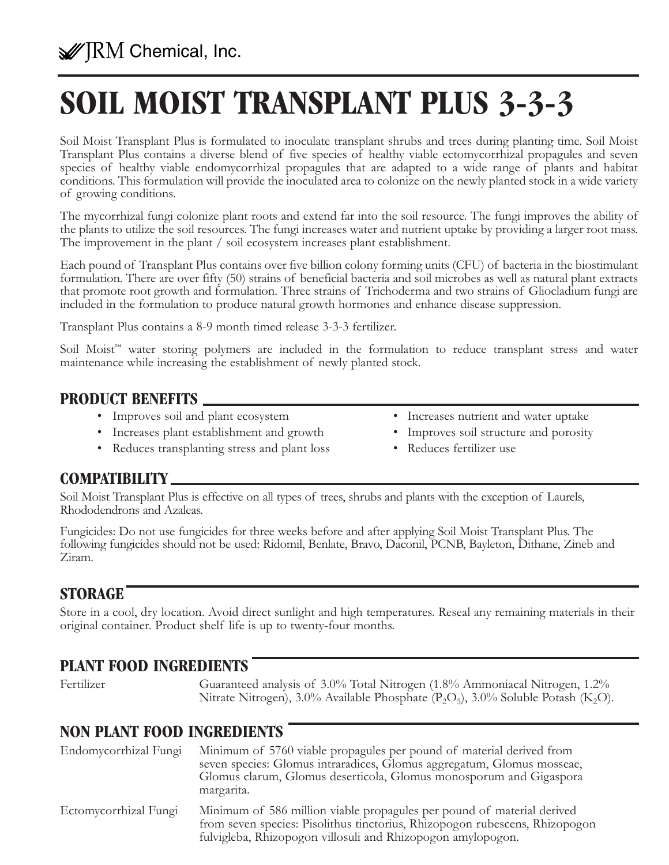# **SOIL MOIST TRANSPLANT PLUS 3-3-3**

Soil Moist Transplant Plus is formulated to inoculate transplant shrubs and trees during planting time. Soil Moist Transplant Plus contains a diverse blend of five species of healthy viable ectomycorrhizal propagules and seven species of healthy viable endomycorrhizal propagules that are adapted to a wide range of plants and habitat conditions. This formulation will provide the inoculated area to colonize on the newly planted stock in a wide variety of growing conditions.

The mycorrhizal fungi colonize plant roots and extend far into the soil resource. The fungi improves the ability of the plants to utilize the soil resources. The fungi increases water and nutrient uptake by providing a larger root mass. The improvement in the plant / soil ecosystem increases plant establishment.

Each pound of Transplant Plus contains over five billion colony forming units (CFU) of bacteria in the biostimulant formulation. There are over fifty (50) strains of beneficial bacteria and soil microbes as well as natural plant extracts that promote root growth and formulation. Three strains of Trichoderma and two strains of Gliocladium fungi are included in the formulation to produce natural growth hormones and enhance disease suppression.

Transplant Plus contains a 8-9 month timed release 3-3-3 fertilizer.

Soil Moist<sup>™</sup> water storing polymers are included in the formulation to reduce transplant stress and water maintenance while increasing the establishment of newly planted stock.

#### **PRODUCT BENEFITS**

- 
- Increases plant establishment and growth Improves soil structure and porosity
- Reduces transplanting stress and plant loss Reduces fertilizer use
- Improves soil and plant ecosystem Increases nutrient and water uptake
	-
	-

#### **COMPATIBILITY**

Soil Moist Transplant Plus is effective on all types of trees, shrubs and plants with the exception of Laurels, Rhododendrons and Azaleas.

Fungicides: Do not use fungicides for three weeks before and after applying Soil Moist Transplant Plus. The following fungicides should not be used: Ridomil, Benlate, Bravo, Daconil, PCNB, Bayleton, Dithane, Zineb and Ziram.

### **STORAGE**

Store in a cool, dry location. Avoid direct sunlight and high temperatures. Reseal any remaining materials in their original container. Product shelf life is up to twenty-four months.

## **PLANT FOOD INGREDIENTS**

Fertilizer Guaranteed analysis of 3.0% Total Nitrogen (1.8% Ammoniacal Nitrogen, 1.2% Nitrate Nitrogen), 3.0% Available Phosphate  $(P_2O_5)$ , 3.0% Soluble Potash (K<sub>2</sub>O).

### **NON PLANT FOOD INGREDIENTS**

| Endomycorrhizal Fungi | Minimum of 5760 viable propagules per pound of material derived from<br>seven species: Glomus intraradices, Glomus aggregatum, Glomus mosseae,<br>Glomus clarum, Glomus deserticola, Glomus monosporum and Gigaspora<br>margarita. |
|-----------------------|------------------------------------------------------------------------------------------------------------------------------------------------------------------------------------------------------------------------------------|
| Ectomycorrhizal Fungi | Minimum of 586 million viable propagules per pound of material derived<br>from seven species: Pisolithus tinctorius, Rhizopogon rubescens, Rhizopogon<br>fulvigleba, Rhizopogon villosuli and Rhizopogon amylopogon.               |